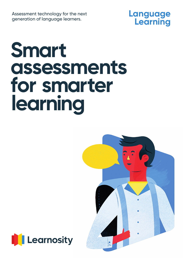Assessment technology for the next generation of language learners.



# **Smart assessments for smarter learning**



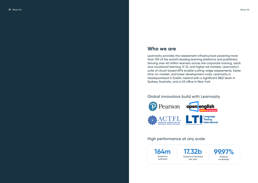### **Who we are**

Learnosity provides the assessment infrastructure powering more than 130 of the world's leading learning platforms and publishers. Serving over 40 million learners across the corporate training, adult and vocational learning, K-12, and higher ed markets, Learnosity's suite of cloud-based APIs enable cutting-edge assessments, faster time-to-market, and lower development costs. Learnosity is headquartered in Dublin, Ireland with a significant R&D team in Sydney, Australia, and a US office in New York.

**01** About Us and the contract of the contract of the contract of the contract of the contract of the contract of the contract of the contract of the contract of the contract of the contract of the contract of the contract **01** About Us





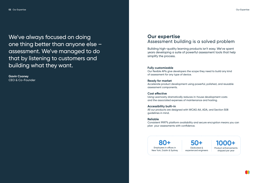### **Our expertise** Assessment building is a solved problem

Building high-quality learning products isn't easy. We've spent years developing a suite of powerful assessment tools that help simplify the process.

#### **Fully customizable**

Our flexible APIs give developers the scope they need to build any kind of assessment for any type of device.

#### **Ready for market**

Accelerate product development using powerful, polished, and reusable assessment components.

#### **Cost effective**

Using Learnosity dramatically reduces in-house development costs and the associated expenses of maintenance and hosting.

#### **Accessibility built-in**

All our products are designed with WCAG AA, ADA, and Section 508 guidelines in mind.

### **Reliable**

Consistent 99.97% platform availability and secure encryption means you can plan your assessments with confidence.

We've always focused on doing one thing better than anyone else – assessment. We've managed to do that by listening to customers and building what they want.

**Gavin Cooney** CEO & Co-Founder

> **80+** Employees in offices in New York, Dublin & Sydney

**50+** Dedicated & experienced engineers



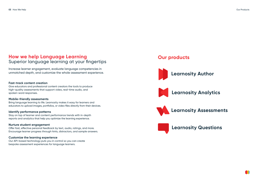### **How we help Language Learning** Superior language learning at your fingertips

Increase learner engagement, evaluate language competencies in unmatched depth, and customize the whole assessment experience.

#### **Fast-track content creation**

Give educators and professional content creators the tools to produce high-quality assessments that support video, real-time audio, and spoken-word responses.

### **Mobile-friendly assessments**

Bring language learning to life. Learnosity makes it easy for learners and educators to upload images, portfolios, or video files directly from their devices.

### **Identify performance patterns**

Stay on top of learner and content performance trends with in-depth reports and analytics that help you optimize the learning experience.

### **Nurture student engagement**

Offer fast, effective personal feedback by text, audio, ratings, and more. Encourage learner progress through hints, distractors, and sample answers.

### **Customize the learning experience**

Our API-based technology puts you in control so you can create bespoke assessment experiences for language learners.

# **Our products**

![](_page_3_Picture_14.jpeg)

![](_page_3_Picture_15.jpeg)

![](_page_3_Picture_17.jpeg)

![](_page_3_Picture_18.jpeg)

![](_page_3_Picture_19.jpeg)

# **Learnosity Analytics**

## **Learnosity Assessments**

## **Learnosity Questions**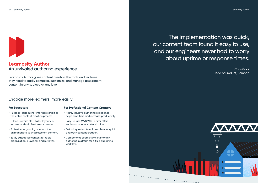### **Learnosity Author** An unrivaled authoring experience

Learnosity Author gives content creators the tools and features they need to easily compose, customize, and manage assessment content in any subject, at any level.

### Engage more learners, more easily

![](_page_4_Picture_1.jpeg)

# The implementation was quick, our content team found it easy to use, and our engineers never had to worry about uptime or response times.

**Chris Glick** Head of Product, Shmoop

![](_page_4_Picture_19.jpeg)

### **For Educators**

- **•** Purpose-built author interface simplifies the entire content creation process.
- **•** Fully customizable tailor layouts, or remove and add features as needed.
- **•** Embed video, audio, or interactive animations to your assessment content.
- **•** Easily categorize content for rapid organization, browsing, and retrieval.

### **For Professional Content Creators**

- Highly intuitive authoring experience helps save time and increase productivity.
- Easy-to-use WYSIWYG editor offers endless scope for customization.
- Default question templates allow for quick and easy content creation.
- Components seamlessly slot into any authoring platform for a fluid publishing workflow.

Learnosity Author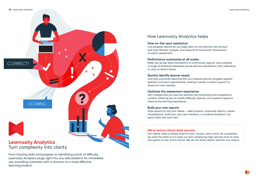![](_page_5_Figure_1.jpeg)

# Turn complexity into clarity

From tracking skills and progress to identifying points of difficulty, Learnosity Analytics plugs right into any web platform for immediate use, providing customers with a shortcut to a more effective learning product.

### How Learnosity Analytics helps

### **Give on-the-spot assistance**

Live progress reports let you keep tabs on how learners are doing in real time. Monitor, analyze, and respond to live learner interactions on every assessment.

#### **Performance summaries at all scales**

Easily set up key data touchpoints to summarize, explore, and compare a range of statistical measures across learner populations, from individual to class to district levels.

#### **Quickly identify learner needs**

Learning outcomes reporting lets you measure learner progress against specific curriculum requirements, making it easier to direct support to where it's most needed.

#### **Optimize the assessment experience**

Item analysis lets you see how learners are interacting with assessment content, allowing you to modify difficulty, layouts, and question types to improve the learning experience.

### **Build your own reports**

Style reports to suit your needs – select events, customize metrics, create visualizations, build your own user interface, or combine Analytics' rich report data into your own.

### **We're serious about data security**

Our clients' data is always theirs to own, access, and control. As custodians, we treat this data as if it were our own, employing high-security end-to-end encryption at rest and in transit. We do not share clients' data for any reason.

Learnosity Analytics

![](_page_5_Picture_20.jpeg)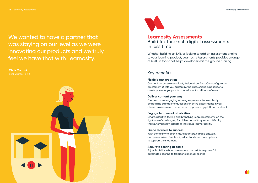![](_page_6_Picture_19.jpeg)

### **Learnosity Assessments** Build feature-rich digital assessments in less time

Whether building an LMS or looking to add an assessment engine to your learning product, Learnosity Assessments provides a range of built-in tools that helps developers hit the ground running.

### Key benefits

#### **Flexible test creation**

Control how assessments look, feel, and perform. Our configurable assessment UI lets you customize the assessment experience to create powerful yet practical interfaces for all kinds of users.

### **Deliver content your way**

Create a more engaging learning experience by seamlessly embedding standalone questions or entire assessments in your chosen environment – whether an app, learning platform, or ebook.

We wanted to have a partner that was staying on our level as we were innovating our products and we truly feel we have that with Learnosity.

### **Engage learners of all abilities**

Smart adaptive testing and branching keep assessments on the right side of challenging for all learners with question difficulty that automatically adapts to individual learner ability.

### **Guide learners to success**

With the ability to offer hints, distractors, sample answers, and personalized feedback, educators have more options to support their learners.

### **Accurate scoring at scale**

Enjoy flexibility in how answers are marked, from powerful automated scoring to traditional manual scoring.

**Chris Contini** OnCourse CEO

![](_page_6_Picture_3.jpeg)

![](_page_6_Picture_4.jpeg)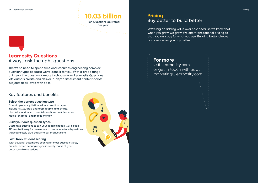### **Learnosity Questions** Always ask the right questions

There's no need to spend time and resources engineering complex question types because we've done it for you. With a broad range of interactive question formats to choose from, Learnosity Questions lets authors create and deliver in-depth assessment content across subjects at all levels with ease.

### Key features and benefits

### **Select the perfect question type**

From simple to sophisticated, our question types include MCQs, drag and drop, graphs and charts, chemistry, and much more. All questions are interactive, media-enabled, and mobile friendly.

### **Build your own question types**

Customize questions to suit your specific needs. Our flexible APIs make it easy for developers to produce tailored questions that seamlessly plug back into our product suite.

### **Fast-track student scoring**

With powerful automated scoring for most question types, our rule-based scoring engine instantly marks all your auto-scorable questions.

## **Pricing** Buy better to build better

We're big on adding value over cost because we know that when you grow, we grow. We offer transactional pricing so that you only pay for what you use. Building better always costs less when you buy better.

**10.03 billion**

Rich Questions delivered per year

# **For more**

visit Learnosity.com or get in touch with us at marketing@learnosity.com Pricing

![](_page_7_Picture_18.jpeg)